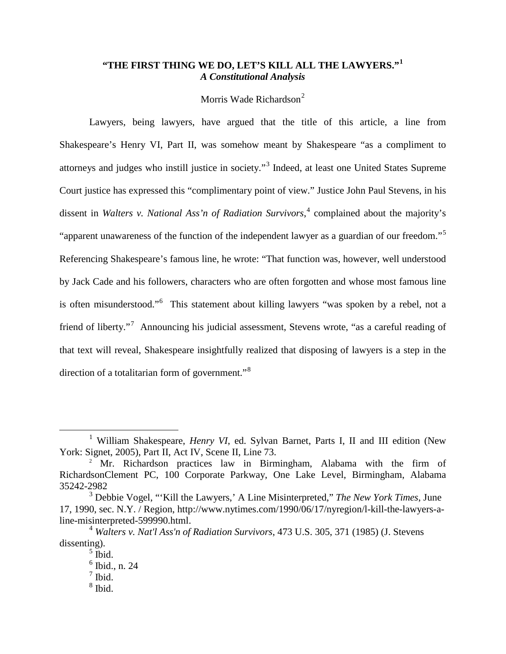# **"THE FIRST THING WE DO, LET'S KILL ALL THE LAWYERS."[1](#page-0-0)** *A Constitutional Analysis*

## Morris Wade Richardson<sup>[2](#page-0-1)</sup>

Lawyers, being lawyers, have argued that the title of this article, a line from Shakespeare's Henry VI, Part II, was somehow meant by Shakespeare "as a compliment to attorneys and judges who instill justice in society."[3](#page-0-2) Indeed, at least one United States Supreme Court justice has expressed this "complimentary point of view." Justice John Paul Stevens, in his dissent in *Walters v. National Ass'n of Radiation Survivors*, [4](#page-0-3) complained about the majority's "apparent unawareness of the function of the independent lawyer as a guardian of our freedom."[5](#page-0-4) Referencing Shakespeare's famous line, he wrote: "That function was, however, well understood by Jack Cade and his followers, characters who are often forgotten and whose most famous line is often misunderstood."<sup>[6](#page-0-5)</sup> This statement about killing lawyers "was spoken by a rebel, not a friend of liberty."<sup>[7](#page-0-6)</sup> Announcing his judicial assessment, Stevens wrote, "as a careful reading of that text will reveal, Shakespeare insightfully realized that disposing of lawyers is a step in the direction of a totalitarian form of government."<sup>[8](#page-0-7)</sup>

<span id="page-0-0"></span><sup>&</sup>lt;sup>1</sup> William Shakespeare, *Henry VI*, ed. Sylvan Barnet, Parts I, II and III edition (New York: Signet, 2005), Part II, Act IV, Scene II, Line 73.

<span id="page-0-1"></span><sup>&</sup>lt;sup>2</sup> Mr. Richardson practices law in Birmingham, Alabama with the firm of RichardsonClement PC, 100 Corporate Parkway, One Lake Level, Birmingham, Alabama 35242-2982

<span id="page-0-2"></span><sup>3</sup> Debbie Vogel, "'Kill the Lawyers,' A Line Misinterpreted," *The New York Times*, June 17, 1990, sec. N.Y. / Region, http://www.nytimes.com/1990/06/17/nyregion/l-kill-the-lawyers-aline-misinterpreted-599990.html.

<span id="page-0-7"></span><span id="page-0-6"></span><span id="page-0-5"></span><span id="page-0-4"></span><span id="page-0-3"></span><sup>4</sup> *Walters v. Nat'l Ass'n of Radiation Survivors*, 473 U.S. 305, 371 (1985) (J. Stevens dissenting).

 $<sup>5</sup>$  Ibid.</sup>

 $6$  Ibid., n. 24

 $<sup>7</sup>$  Ibid.</sup>

 $8$  Ibid.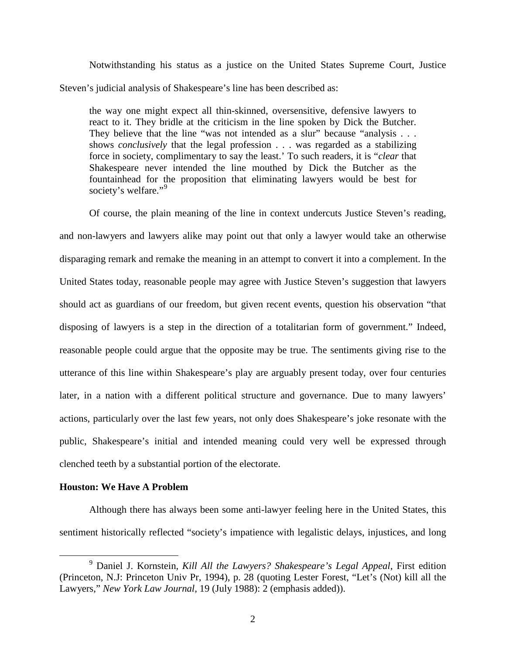Notwithstanding his status as a justice on the United States Supreme Court, Justice Steven's judicial analysis of Shakespeare's line has been described as:

the way one might expect all thin-skinned, oversensitive, defensive lawyers to react to it. They bridle at the criticism in the line spoken by Dick the Butcher. They believe that the line "was not intended as a slur" because "analysis . . . shows *conclusively* that the legal profession . . . was regarded as a stabilizing force in society, complimentary to say the least.' To such readers, it is "*clear* that Shakespeare never intended the line mouthed by Dick the Butcher as the fountainhead for the proposition that eliminating lawyers would be best for society's welfare."<sup>[9](#page-1-0)</sup>

Of course, the plain meaning of the line in context undercuts Justice Steven's reading, and non-lawyers and lawyers alike may point out that only a lawyer would take an otherwise disparaging remark and remake the meaning in an attempt to convert it into a complement. In the United States today, reasonable people may agree with Justice Steven's suggestion that lawyers should act as guardians of our freedom, but given recent events, question his observation "that disposing of lawyers is a step in the direction of a totalitarian form of government." Indeed, reasonable people could argue that the opposite may be true. The sentiments giving rise to the utterance of this line within Shakespeare's play are arguably present today, over four centuries later, in a nation with a different political structure and governance. Due to many lawyers' actions, particularly over the last few years, not only does Shakespeare's joke resonate with the public, Shakespeare's initial and intended meaning could very well be expressed through clenched teeth by a substantial portion of the electorate.

#### **Houston: We Have A Problem**

Although there has always been some anti-lawyer feeling here in the United States, this sentiment historically reflected "society's impatience with legalistic delays, injustices, and long

<span id="page-1-0"></span> <sup>9</sup> Daniel J. Kornstein, *Kill All the Lawyers? Shakespeare's Legal Appeal*, First edition (Princeton, N.J: Princeton Univ Pr, 1994), p. 28 (quoting Lester Forest, "Let's (Not) kill all the Lawyers," *New York Law Journal*, 19 (July 1988): 2 (emphasis added)).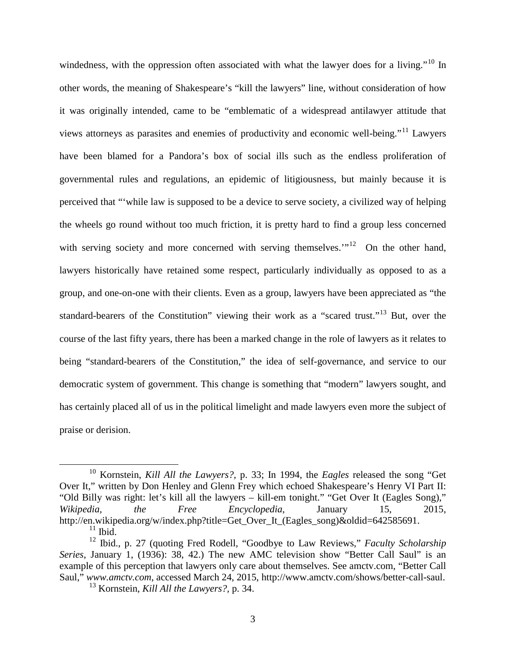windedness, with the oppression often associated with what the lawyer does for a living."<sup>[10](#page-2-0)</sup> In other words, the meaning of Shakespeare's "kill the lawyers" line, without consideration of how it was originally intended, came to be "emblematic of a widespread antilawyer attitude that views attorneys as parasites and enemies of productivity and economic well-being."[11](#page-2-1) Lawyers have been blamed for a Pandora's box of social ills such as the endless proliferation of governmental rules and regulations, an epidemic of litigiousness, but mainly because it is perceived that "'while law is supposed to be a device to serve society, a civilized way of helping the wheels go round without too much friction, it is pretty hard to find a group less concerned with serving society and more concerned with serving themselves."<sup>[12](#page-2-2)</sup> On the other hand, lawyers historically have retained some respect, particularly individually as opposed to as a group, and one-on-one with their clients. Even as a group, lawyers have been appreciated as "the standard-bearers of the Constitution" viewing their work as a "scared trust."<sup>[13](#page-2-3)</sup> But, over the course of the last fifty years, there has been a marked change in the role of lawyers as it relates to being "standard-bearers of the Constitution," the idea of self-governance, and service to our democratic system of government. This change is something that "modern" lawyers sought, and has certainly placed all of us in the political limelight and made lawyers even more the subject of praise or derision.

<span id="page-2-0"></span> <sup>10</sup> Kornstein, *Kill All the Lawyers?,* p. 33; In 1994, the *Eagles* released the song "Get Over It," written by Don Henley and Glenn Frey which echoed Shakespeare's Henry VI Part II: "Old Billy was right: let's kill all the lawyers – kill-em tonight." "Get Over It (Eagles Song)," *Wikipedia, the Free Encyclopedia*, January 15, 2015, http://en.wikipedia.org/w/index.php?title=Get\_Over\_It\_(Eagles\_song)&oldid=642585691.

 $11$  Ibid.

<span id="page-2-3"></span><span id="page-2-2"></span><span id="page-2-1"></span><sup>12</sup> Ibid., p. 27 (quoting Fred Rodell, "Goodbye to Law Reviews," *Faculty Scholarship Series*, January 1, (1936): 38, 42.) The new AMC television show "Better Call Saul" is an example of this perception that lawyers only care about themselves. See amctv.com, "Better Call Saul," *www.amctv.com*, accessed March 24, 2015, http://www.amctv.com/shows/better-call-saul.

<sup>13</sup> Kornstein, *Kill All the Lawyers?,* p. 34.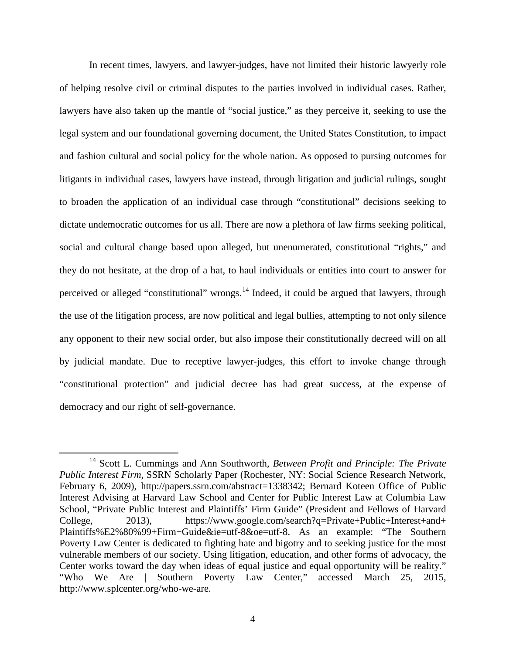In recent times, lawyers, and lawyer-judges, have not limited their historic lawyerly role of helping resolve civil or criminal disputes to the parties involved in individual cases. Rather, lawyers have also taken up the mantle of "social justice," as they perceive it, seeking to use the legal system and our foundational governing document, the United States Constitution, to impact and fashion cultural and social policy for the whole nation. As opposed to pursing outcomes for litigants in individual cases, lawyers have instead, through litigation and judicial rulings, sought to broaden the application of an individual case through "constitutional" decisions seeking to dictate undemocratic outcomes for us all. There are now a plethora of law firms seeking political, social and cultural change based upon alleged, but unenumerated, constitutional "rights," and they do not hesitate, at the drop of a hat, to haul individuals or entities into court to answer for perceived or alleged "constitutional" wrongs.<sup>[14](#page-3-0)</sup> Indeed, it could be argued that lawyers, through the use of the litigation process, are now political and legal bullies, attempting to not only silence any opponent to their new social order, but also impose their constitutionally decreed will on all by judicial mandate. Due to receptive lawyer-judges, this effort to invoke change through "constitutional protection" and judicial decree has had great success, at the expense of democracy and our right of self-governance.

<span id="page-3-0"></span> <sup>14</sup> Scott L. Cummings and Ann Southworth, *Between Profit and Principle: The Private Public Interest Firm*, SSRN Scholarly Paper (Rochester, NY: Social Science Research Network, February 6, 2009), http://papers.ssrn.com/abstract=1338342; Bernard Koteen Office of Public Interest Advising at Harvard Law School and Center for Public Interest Law at Columbia Law School, "Private Public Interest and Plaintiffs' Firm Guide" (President and Fellows of Harvard College, 2013), https://www.google.com/search?q=Private+Public+Interest+and+ Plaintiffs%E2%80%99+Firm+Guide&ie=utf-8&oe=utf-8. As an example: "The Southern Poverty Law Center is dedicated to fighting hate and bigotry and to seeking justice for the most vulnerable members of our society. Using litigation, education, and other forms of advocacy, the Center works toward the day when ideas of equal justice and equal opportunity will be reality." "Who We Are | Southern Poverty Law Center," accessed March 25, 2015, http://www.splcenter.org/who-we-are.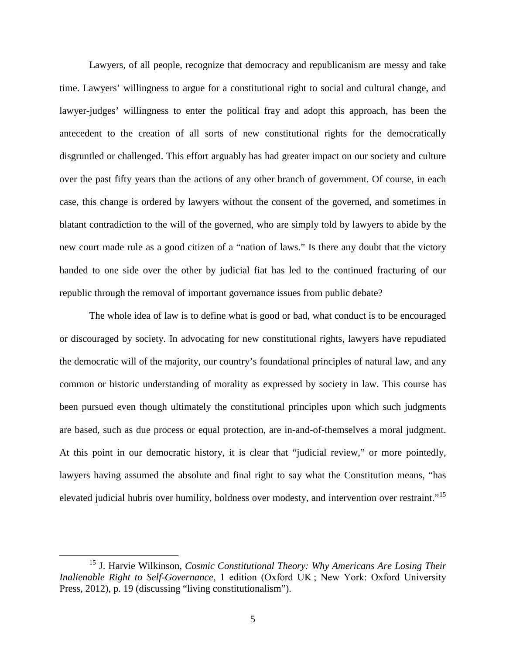Lawyers, of all people, recognize that democracy and republicanism are messy and take time. Lawyers' willingness to argue for a constitutional right to social and cultural change, and lawyer-judges' willingness to enter the political fray and adopt this approach, has been the antecedent to the creation of all sorts of new constitutional rights for the democratically disgruntled or challenged. This effort arguably has had greater impact on our society and culture over the past fifty years than the actions of any other branch of government. Of course, in each case, this change is ordered by lawyers without the consent of the governed, and sometimes in blatant contradiction to the will of the governed, who are simply told by lawyers to abide by the new court made rule as a good citizen of a "nation of laws." Is there any doubt that the victory handed to one side over the other by judicial fiat has led to the continued fracturing of our republic through the removal of important governance issues from public debate?

The whole idea of law is to define what is good or bad, what conduct is to be encouraged or discouraged by society. In advocating for new constitutional rights, lawyers have repudiated the democratic will of the majority, our country's foundational principles of natural law, and any common or historic understanding of morality as expressed by society in law. This course has been pursued even though ultimately the constitutional principles upon which such judgments are based, such as due process or equal protection, are in-and-of-themselves a moral judgment. At this point in our democratic history, it is clear that "judicial review," or more pointedly, lawyers having assumed the absolute and final right to say what the Constitution means, "has elevated judicial hubris over humility, boldness over modesty, and intervention over restraint."<sup>[15](#page-4-0)</sup>

<span id="page-4-0"></span> <sup>15</sup> J. Harvie Wilkinson, *Cosmic Constitutional Theory: Why Americans Are Losing Their Inalienable Right to Self-Governance*, 1 edition (Oxford UK ; New York: Oxford University Press, 2012), p. 19 (discussing "living constitutionalism").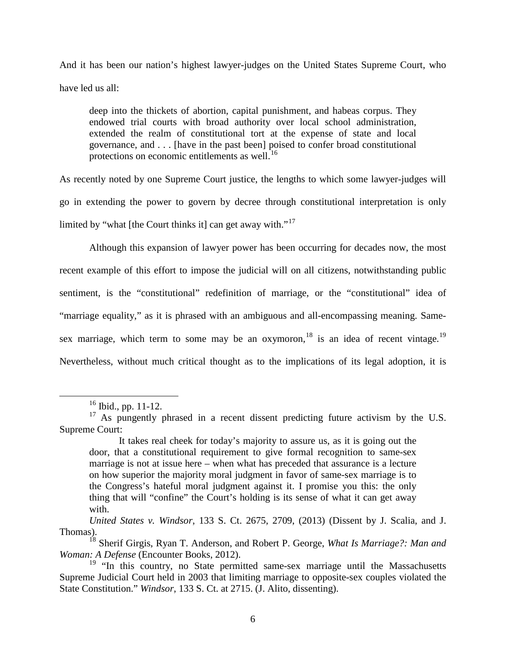And it has been our nation's highest lawyer-judges on the United States Supreme Court, who have led us all:

deep into the thickets of abortion, capital punishment, and habeas corpus. They endowed trial courts with broad authority over local school administration, extended the realm of constitutional tort at the expense of state and local governance, and . . . [have in the past been] poised to confer broad constitutional protections on economic entitlements as well.<sup>[16](#page-5-0)</sup>

As recently noted by one Supreme Court justice, the lengths to which some lawyer-judges will go in extending the power to govern by decree through constitutional interpretation is only limited by "what [the Court thinks it] can get away with."<sup>[17](#page-5-1)</sup>

Although this expansion of lawyer power has been occurring for decades now, the most recent example of this effort to impose the judicial will on all citizens, notwithstanding public sentiment, is the "constitutional" redefinition of marriage, or the "constitutional" idea of "marriage equality," as it is phrased with an ambiguous and all-encompassing meaning. Same-sex marriage, which term to some may be an oxymoron, <sup>[18](#page-5-2)</sup> is an idea of recent vintage.<sup>[19](#page-5-3)</sup> Nevertheless, without much critical thought as to the implications of its legal adoption, it is

 <sup>16</sup> Ibid., pp. 11-12.

<span id="page-5-1"></span><span id="page-5-0"></span><sup>&</sup>lt;sup>17</sup> As pungently phrased in a recent dissent predicting future activism by the U.S. Supreme Court:

It takes real cheek for today's majority to assure us, as it is going out the door, that a constitutional requirement to give formal recognition to same-sex marriage is not at issue here – when what has preceded that assurance is a lecture on how superior the majority moral judgment in favor of same-sex marriage is to the Congress's hateful moral judgment against it. I promise you this: the only thing that will "confine" the Court's holding is its sense of what it can get away with.

*United States v. Windsor*, 133 S. Ct. 2675, 2709, (2013) (Dissent by J. Scalia, and J. Thomas).

<span id="page-5-2"></span><sup>18</sup> Sherif Girgis, Ryan T. Anderson, and Robert P. George, *What Is Marriage?: Man and Woman: A Defense* (Encounter Books, 2012).

<span id="page-5-3"></span> $19$  "In this country, no State permitted same-sex marriage until the Massachusetts Supreme Judicial Court held in 2003 that limiting marriage to opposite-sex couples violated the State Constitution." *Windsor*, 133 S. Ct. at 2715. (J. Alito, dissenting).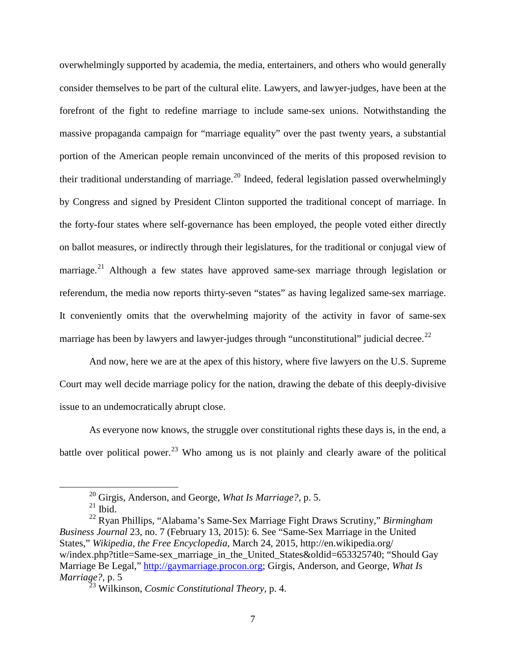overwhelmingly supported by academia, the media, entertainers, and others who would generally consider themselves to be part of the cultural elite. Lawyers, and lawyer-judges, have been at the forefront of the fight to redefine marriage to include same-sex unions. Notwithstanding the massive propaganda campaign for "marriage equality" over the past twenty years, a substantial portion of the American people remain unconvinced of the merits of this proposed revision to their traditional understanding of marriage.<sup>[20](#page-6-0)</sup> Indeed, federal legislation passed overwhelmingly by Congress and signed by President Clinton supported the traditional concept of marriage. In the forty-four states where self-governance has been employed, the people voted either directly on ballot measures, or indirectly through their legislatures, for the traditional or conjugal view of marriage.<sup>[21](#page-6-1)</sup> Although a few states have approved same-sex marriage through legislation or referendum, the media now reports thirty-seven "states" as having legalized same-sex marriage. It conveniently omits that the overwhelming majority of the activity in favor of same-sex marriage has been by lawyers and lawyer-judges through "unconstitutional" judicial decree.<sup>[22](#page-6-2)</sup>

And now, here we are at the apex of this history, where five lawyers on the U.S. Supreme Court may well decide marriage policy for the nation, drawing the debate of this deeply-divisive issue to an undemocratically abrupt close.

As everyone now knows, the struggle over constitutional rights these days is, in the end, a battle over political power.<sup>[23](#page-6-3)</sup> Who among us is not plainly and clearly aware of the political

 <sup>20</sup> Girgis, Anderson, and George, *What Is Marriage?*, p. 5.

 $^{21}$  Ibid.

<span id="page-6-2"></span><span id="page-6-1"></span><span id="page-6-0"></span><sup>22</sup> Ryan Phillips, "Alabama's Same-Sex Marriage Fight Draws Scrutiny," *Birmingham Business Journal* 23, no. 7 (February 13, 2015): 6. See "Same-Sex Marriage in the United States," *Wikipedia, the Free Encyclopedia*, March 24, 2015, http://en.wikipedia.org/ w/index.php?title=Same-sex\_marriage\_in\_the\_United\_States&oldid=653325740; "Should Gay Marriage Be Legal," [http://gaymarriage.procon.org;](http://gaymarriage.procon.org/) Girgis, Anderson, and George, *What Is Marriage?*, p. 5

<span id="page-6-3"></span><sup>23</sup> Wilkinson, *Cosmic Constitutional Theory*, p. 4.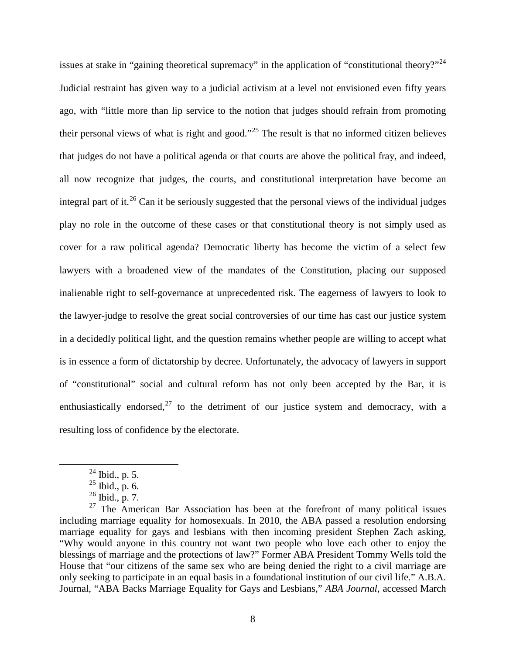issues at stake in "gaining theoretical supremacy" in the application of "constitutional theory?"<sup>[24](#page-7-0)</sup> Judicial restraint has given way to a judicial activism at a level not envisioned even fifty years ago, with "little more than lip service to the notion that judges should refrain from promoting their personal views of what is right and good."<sup>[25](#page-7-1)</sup> The result is that no informed citizen believes that judges do not have a political agenda or that courts are above the political fray, and indeed, all now recognize that judges, the courts, and constitutional interpretation have become an integral part of it.<sup>[26](#page-7-2)</sup> Can it be seriously suggested that the personal views of the individual judges play no role in the outcome of these cases or that constitutional theory is not simply used as cover for a raw political agenda? Democratic liberty has become the victim of a select few lawyers with a broadened view of the mandates of the Constitution, placing our supposed inalienable right to self-governance at unprecedented risk. The eagerness of lawyers to look to the lawyer-judge to resolve the great social controversies of our time has cast our justice system in a decidedly political light, and the question remains whether people are willing to accept what is in essence a form of dictatorship by decree. Unfortunately, the advocacy of lawyers in support of "constitutional" social and cultural reform has not only been accepted by the Bar, it is enthusiastically endorsed, $^{27}$  $^{27}$  $^{27}$  to the detriment of our justice system and democracy, with a resulting loss of confidence by the electorate.

 $^{24}$  Ibid., p. 5.

 $^{25}$  Ibid., p. 6.

 $^{26}$  Ibid., p. 7.

<span id="page-7-3"></span><span id="page-7-2"></span><span id="page-7-1"></span><span id="page-7-0"></span> $27$  The American Bar Association has been at the forefront of many political issues including marriage equality for homosexuals. In 2010, the ABA passed a resolution endorsing marriage equality for gays and lesbians with then incoming president Stephen Zach asking, "Why would anyone in this country not want two people who love each other to enjoy the blessings of marriage and the protections of law?" Former ABA President Tommy Wells told the House that "our citizens of the same sex who are being denied the right to a civil marriage are only seeking to participate in an equal basis in a foundational institution of our civil life." A.B.A. Journal, "ABA Backs Marriage Equality for Gays and Lesbians," *ABA Journal*, accessed March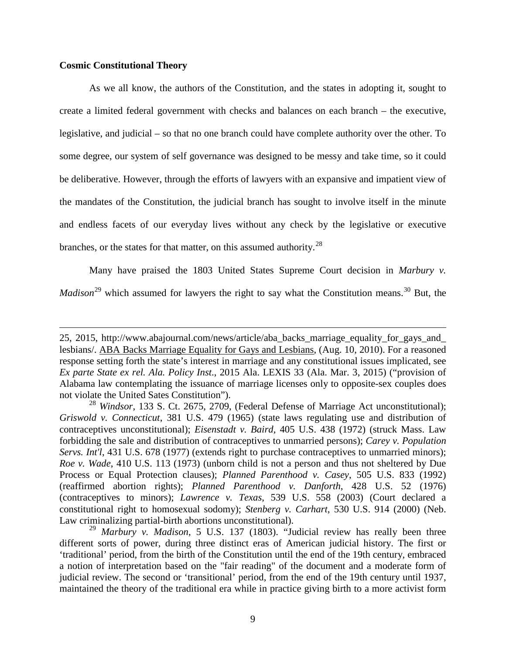#### **Cosmic Constitutional Theory**

 $\overline{a}$ 

As we all know, the authors of the Constitution, and the states in adopting it, sought to create a limited federal government with checks and balances on each branch – the executive, legislative, and judicial – so that no one branch could have complete authority over the other. To some degree, our system of self governance was designed to be messy and take time, so it could be deliberative. However, through the efforts of lawyers with an expansive and impatient view of the mandates of the Constitution, the judicial branch has sought to involve itself in the minute and endless facets of our everyday lives without any check by the legislative or executive branches, or the states for that matter, on this assumed authority.  $^{28}$  $^{28}$  $^{28}$ 

Many have praised the 1803 United States Supreme Court decision in *Marbury v. Madison*<sup>[29](#page-8-1)</sup> which assumed for lawyers the right to say what the Constitution means.<sup>[30](#page-8-2)</sup> But, the

<sup>25, 2015,</sup> http://www.abajournal.com/news/article/aba\_backs\_marriage\_equality\_for\_gays\_and\_ lesbians/. ABA Backs Marriage Equality for Gays and Lesbians, (Aug. 10, 2010). For a reasoned response setting forth the state's interest in marriage and any constitutional issues implicated, see *Ex parte State ex rel. Ala. Policy Inst*., 2015 Ala. LEXIS 33 (Ala. Mar. 3, 2015) ("provision of Alabama law contemplating the issuance of marriage licenses only to opposite-sex couples does not violate the United Sates Constitution").

<span id="page-8-2"></span><span id="page-8-0"></span><sup>28</sup> *Windsor*, 133 S. Ct. 2675, 2709, (Federal Defense of Marriage Act unconstitutional); *Griswold v. Connecticut*, 381 U.S. 479 (1965) (state laws regulating use and distribution of contraceptives unconstitutional); *Eisenstadt v. Baird*, 405 U.S. 438 (1972) (struck Mass. Law forbidding the sale and distribution of contraceptives to unmarried persons); *Carey v. Population Servs. Int'l*, 431 U.S. 678 (1977) (extends right to purchase contraceptives to unmarried minors); *Roe v. Wade*, 410 U.S. 113 (1973) (unborn child is not a person and thus not sheltered by Due Process or Equal Protection clauses); *Planned Parenthood v. Casey*, 505 U.S. 833 (1992) (reaffirmed abortion rights); *Planned Parenthood v. Danforth*, 428 U.S. 52 (1976) (contraceptives to minors); *Lawrence v. Texas*, 539 U.S. 558 (2003) (Court declared a constitutional right to homosexual sodomy); *Stenberg v. Carhart*, 530 U.S. 914 (2000) (Neb. Law criminalizing partial-birth abortions unconstitutional). <sup>29</sup> *Marbury v. Madison*, 5 U.S. 137 (1803). "Judicial review has really been three

<span id="page-8-1"></span>different sorts of power, during three distinct eras of American judicial history. The first or 'traditional' period, from the birth of the Constitution until the end of the 19th century, embraced a notion of interpretation based on the "fair reading" of the document and a moderate form of judicial review. The second or 'transitional' period, from the end of the 19th century until 1937, maintained the theory of the traditional era while in practice giving birth to a more activist form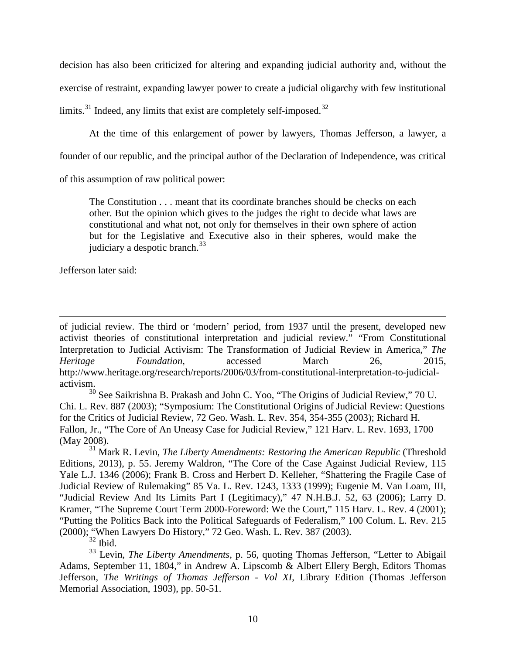decision has also been criticized for altering and expanding judicial authority and, without the exercise of restraint, expanding lawyer power to create a judicial oligarchy with few institutional limits.<sup>[31](#page-9-0)</sup> Indeed, any limits that exist are completely self-imposed.<sup>[32](#page-9-1)</sup>

At the time of this enlargement of power by lawyers, Thomas Jefferson, a lawyer, a

founder of our republic, and the principal author of the Declaration of Independence, was critical

of this assumption of raw political power:

The Constitution . . . meant that its coordinate branches should be checks on each other. But the opinion which gives to the judges the right to decide what laws are constitutional and what not, not only for themselves in their own sphere of action but for the Legislative and Executive also in their spheres, would make the judiciary a despotic branch. $33$ 

Jefferson later said:

 $\overline{a}$ 

of judicial review. The third or 'modern' period, from 1937 until the present, developed new activist theories of constitutional interpretation and judicial review." "From Constitutional Interpretation to Judicial Activism: The Transformation of Judicial Review in America," *The Heritage Foundation*, accessed March 26, 2015, http://www.heritage.org/research/reports/2006/03/from-constitutional-interpretation-to-judicialactivism.

<sup>30</sup> See Saikrishna B. Prakash and John C. Yoo, "The Origins of Judicial Review," 70 U. Chi. L. Rev. 887 (2003); "Symposium: The Constitutional Origins of Judicial Review: Questions for the Critics of Judicial Review, 72 Geo. Wash. L. Rev. 354, 354-355 (2003); Richard H. Fallon, Jr., "The Core of An Uneasy Case for Judicial Review," 121 Harv. L. Rev. 1693, 1700 (May 2008).

<span id="page-9-0"></span><sup>31</sup> Mark R. Levin, *The Liberty Amendments: Restoring the American Republic* (Threshold Editions, 2013), p. 55. Jeremy Waldron, "The Core of the Case Against Judicial Review, 115 Yale L.J. 1346 (2006); Frank B. Cross and Herbert D. Kelleher, "Shattering the Fragile Case of Judicial Review of Rulemaking" 85 Va. L. Rev. 1243, 1333 (1999); Eugenie M. Van Loam, III, "Judicial Review And Its Limits Part I (Legitimacy)," 47 N.H.B.J. 52, 63 (2006); Larry D. Kramer, "The Supreme Court Term 2000-Foreword: We the Court," [115 Harv. L. Rev. 4 \(2001\);](https://advance.lexis.com/document/?pdmfid=1000516&crid=8175b7a0-bfa9-458f-97ed-a22d6847c2a2&pddocfullpath=%2Fshared%2Fdocument%2Fanalytical-materials%2Furn%3AcontentItem%3A4C29-7650-00CV-601M-00000-00&pddocid=urn%3AcontentItem%3A4C29-7650-00CV-601M-00000-00&pdcontentcomponentid=7338&ecomp=knthk&earg=sr23&prid=599e738e-fde0-4060-9ef6-ccb8eb7eabdd) "Putting the Politics Back into the Political Safeguards of Federalism," [100 Colum. L. Rev. 215](https://advance.lexis.com/document/?pdmfid=1000516&crid=8175b7a0-bfa9-458f-97ed-a22d6847c2a2&pddocfullpath=%2Fshared%2Fdocument%2Fanalytical-materials%2Furn%3AcontentItem%3A4C29-7650-00CV-601M-00000-00&pddocid=urn%3AcontentItem%3A4C29-7650-00CV-601M-00000-00&pdcontentcomponentid=7338&ecomp=knthk&earg=sr23&prid=599e738e-fde0-4060-9ef6-ccb8eb7eabdd)  [\(2000\);](https://advance.lexis.com/document/?pdmfid=1000516&crid=8175b7a0-bfa9-458f-97ed-a22d6847c2a2&pddocfullpath=%2Fshared%2Fdocument%2Fanalytical-materials%2Furn%3AcontentItem%3A4C29-7650-00CV-601M-00000-00&pddocid=urn%3AcontentItem%3A4C29-7650-00CV-601M-00000-00&pdcontentcomponentid=7338&ecomp=knthk&earg=sr23&prid=599e738e-fde0-4060-9ef6-ccb8eb7eabdd) "When Lawyers Do History," [72 Geo. Wash. L. Rev. 387 \(2003\).](https://advance.lexis.com/document/?pdmfid=1000516&crid=8175b7a0-bfa9-458f-97ed-a22d6847c2a2&pddocfullpath=%2Fshared%2Fdocument%2Fanalytical-materials%2Furn%3AcontentItem%3A4C29-7650-00CV-601M-00000-00&pddocid=urn%3AcontentItem%3A4C29-7650-00CV-601M-00000-00&pdcontentcomponentid=7338&ecomp=knthk&earg=sr23&prid=599e738e-fde0-4060-9ef6-ccb8eb7eabdd)  $\frac{32}{32}$  Ibid.

<span id="page-9-2"></span><span id="page-9-1"></span><sup>33</sup> Levin, *The Liberty Amendments*, p. 56, quoting Thomas Jefferson, "Letter to Abigail Adams, September 11, 1804," in Andrew A. Lipscomb & Albert Ellery Bergh, Editors Thomas Jefferson, *The Writings of Thomas Jefferson - Vol XI*, Library Edition (Thomas Jefferson Memorial Association, 1903), pp. 50-51.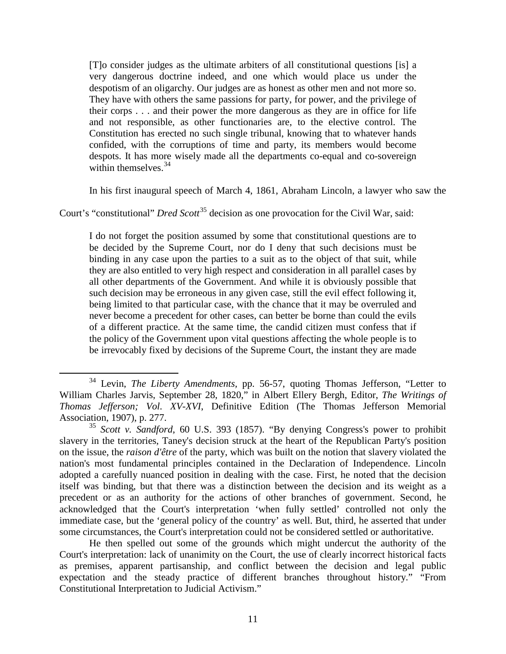[T]o consider judges as the ultimate arbiters of all constitutional questions [is] a very dangerous doctrine indeed, and one which would place us under the despotism of an oligarchy. Our judges are as honest as other men and not more so. They have with others the same passions for party, for power, and the privilege of their corps . . . and their power the more dangerous as they are in office for life and not responsible, as other functionaries are, to the elective control. The Constitution has erected no such single tribunal, knowing that to whatever hands confided, with the corruptions of time and party, its members would become despots. It has more wisely made all the departments co-equal and co-sovereign within themselves.  $34$ 

In his first inaugural speech of March 4, 1861, Abraham Lincoln, a lawyer who saw the

Court's "constitutional" *Dred Scott*<sup>[35](#page-10-1)</sup> decision as one provocation for the Civil War, said:

I do not forget the position assumed by some that constitutional questions are to be decided by the Supreme Court, nor do I deny that such decisions must be binding in any case upon the parties to a suit as to the object of that suit, while they are also entitled to very high respect and consideration in all parallel cases by all other departments of the Government. And while it is obviously possible that such decision may be erroneous in any given case, still the evil effect following it, being limited to that particular case, with the chance that it may be overruled and never become a precedent for other cases, can better be borne than could the evils of a different practice. At the same time, the candid citizen must confess that if the policy of the Government upon vital questions affecting the whole people is to be irrevocably fixed by decisions of the Supreme Court, the instant they are made

<span id="page-10-0"></span> <sup>34</sup> Levin, *The Liberty Amendments,* pp. 56-57, quoting Thomas Jefferson, "Letter to William Charles Jarvis, September 28, 1820," in Albert Ellery Bergh, Editor, *The Writings of Thomas Jefferson; Vol. XV-XVI*, Definitive Edition (The Thomas Jefferson Memorial Association, 1907), p. 277.

<span id="page-10-1"></span><sup>35</sup> *Scott v. Sandford*, 60 U.S. 393 (1857). "By denying Congress's power to prohibit slavery in the territories, Taney's decision struck at the heart of the Republican Party's position on the issue, the *raison d'être* of the party, which was built on the notion that slavery violated the nation's most fundamental principles contained in the Declaration of Independence. Lincoln adopted a carefully nuanced position in dealing with the case. First, he noted that the decision itself was binding, but that there was a distinction between the decision and its weight as a precedent or as an authority for the actions of other branches of government. Second, he acknowledged that the Court's interpretation 'when fully settled' controlled not only the immediate case, but the 'general policy of the country' as well. But, third, he asserted that under some circumstances, the Court's interpretation could not be considered settled or authoritative.

He then spelled out some of the grounds which might undercut the authority of the Court's interpretation: lack of unanimity on the Court, the use of clearly incorrect historical facts as premises, apparent partisanship, and conflict between the decision and legal public expectation and the steady practice of different branches throughout history." "From Constitutional Interpretation to Judicial Activism."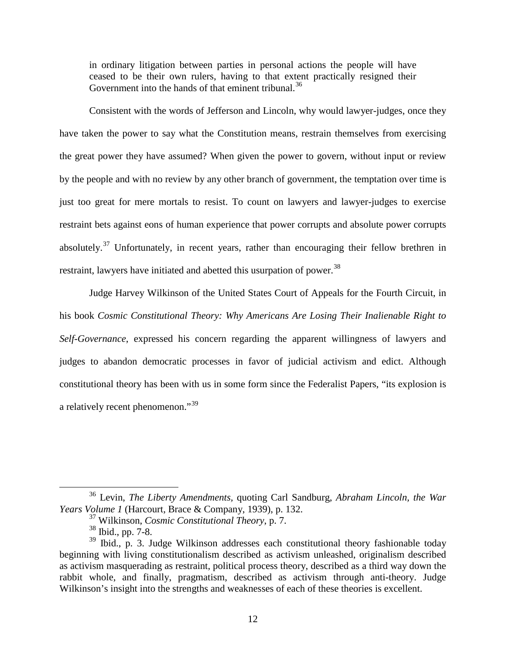in ordinary litigation between parties in personal actions the people will have ceased to be their own rulers, having to that extent practically resigned their Government into the hands of that eminent tribunal.<sup>[36](#page-11-0)</sup>

Consistent with the words of Jefferson and Lincoln, why would lawyer-judges, once they have taken the power to say what the Constitution means, restrain themselves from exercising the great power they have assumed? When given the power to govern, without input or review by the people and with no review by any other branch of government, the temptation over time is just too great for mere mortals to resist. To count on lawyers and lawyer-judges to exercise restraint bets against eons of human experience that power corrupts and absolute power corrupts absolutely.<sup>[37](#page-11-1)</sup> Unfortunately, in recent years, rather than encouraging their fellow brethren in restraint, lawyers have initiated and abetted this usurpation of power.<sup>[38](#page-11-2)</sup>

Judge Harvey Wilkinson of the United States Court of Appeals for the Fourth Circuit, in his book *Cosmic Constitutional Theory: Why Americans Are Losing Their Inalienable Right to Self-Governance*, expressed his concern regarding the apparent willingness of lawyers and judges to abandon democratic processes in favor of judicial activism and edict. Although constitutional theory has been with us in some form since the Federalist Papers, "its explosion is a relatively recent phenomenon."<sup>[39](#page-11-3)</sup>

<span id="page-11-0"></span> <sup>36</sup> Levin, *The Liberty Amendments,* quoting Carl Sandburg, *Abraham Lincoln, the War Years Volume 1* (Harcourt, Brace & Company, 1939), p. 132.

<sup>37</sup> Wilkinson, *Cosmic Constitutional Theory*, p. 7.

<sup>38</sup> Ibid., pp. 7-8.

<span id="page-11-3"></span><span id="page-11-2"></span><span id="page-11-1"></span> $39$  Ibid., p. 3. Judge Wilkinson addresses each constitutional theory fashionable today beginning with living constitutionalism described as activism unleashed, originalism described as activism masquerading as restraint, political process theory, described as a third way down the rabbit whole, and finally, pragmatism, described as activism through anti-theory. Judge Wilkinson's insight into the strengths and weaknesses of each of these theories is excellent.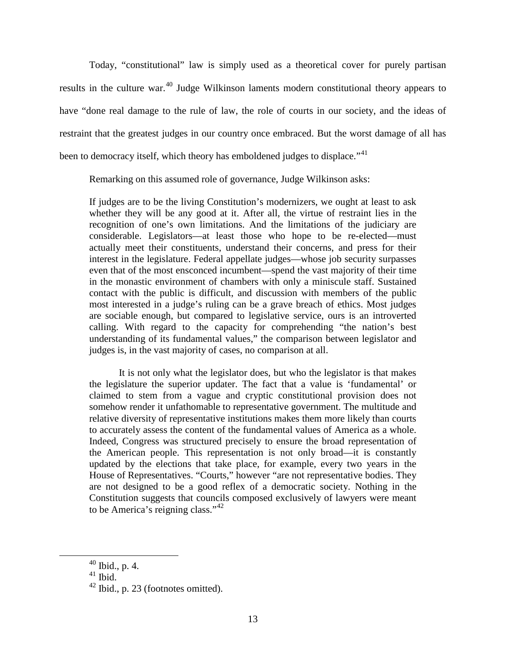Today, "constitutional" law is simply used as a theoretical cover for purely partisan results in the culture war.<sup>[40](#page-12-0)</sup> Judge Wilkinson laments modern constitutional theory appears to have "done real damage to the rule of law, the role of courts in our society, and the ideas of restraint that the greatest judges in our country once embraced. But the worst damage of all has been to democracy itself, which theory has emboldened judges to displace."<sup>[41](#page-12-1)</sup>

Remarking on this assumed role of governance, Judge Wilkinson asks:

If judges are to be the living Constitution's modernizers, we ought at least to ask whether they will be any good at it. After all, the virtue of restraint lies in the recognition of one's own limitations. And the limitations of the judiciary are considerable. Legislators—at least those who hope to be re-elected—must actually meet their constituents, understand their concerns, and press for their interest in the legislature. Federal appellate judges—whose job security surpasses even that of the most ensconced incumbent—spend the vast majority of their time in the monastic environment of chambers with only a miniscule staff. Sustained contact with the public is difficult, and discussion with members of the public most interested in a judge's ruling can be a grave breach of ethics. Most judges are sociable enough, but compared to legislative service, ours is an introverted calling. With regard to the capacity for comprehending "the nation's best understanding of its fundamental values," the comparison between legislator and judges is, in the vast majority of cases, no comparison at all.

It is not only what the legislator does, but who the legislator is that makes the legislature the superior updater. The fact that a value is 'fundamental' or claimed to stem from a vague and cryptic constitutional provision does not somehow render it unfathomable to representative government. The multitude and relative diversity of representative institutions makes them more likely than courts to accurately assess the content of the fundamental values of America as a whole. Indeed, Congress was structured precisely to ensure the broad representation of the American people. This representation is not only broad—it is constantly updated by the elections that take place, for example, every two years in the House of Representatives. "Courts," however "are not representative bodies. They are not designed to be a good reflex of a democratic society. Nothing in the Constitution suggests that councils composed exclusively of lawyers were meant to be America's reigning class."<sup>[42](#page-12-2)</sup>

<span id="page-12-0"></span> $40$  Ibid., p. 4.

<span id="page-12-1"></span> $41$  Ibid.

<span id="page-12-2"></span> $42$  Ibid., p. 23 (footnotes omitted).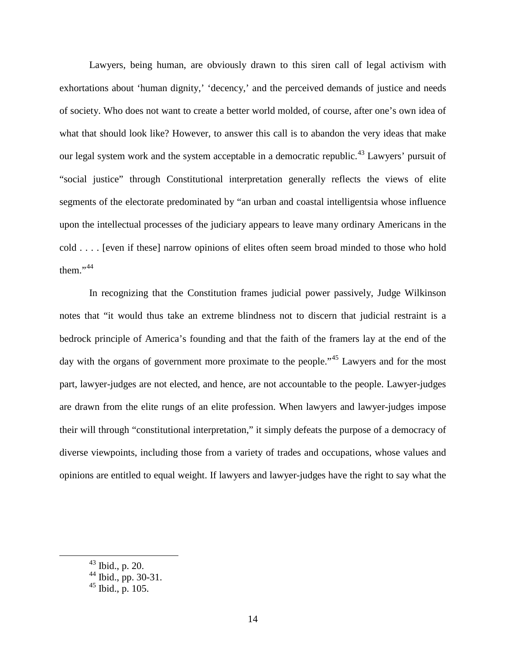Lawyers, being human, are obviously drawn to this siren call of legal activism with exhortations about 'human dignity,' 'decency,' and the perceived demands of justice and needs of society. Who does not want to create a better world molded, of course, after one's own idea of what that should look like? However, to answer this call is to abandon the very ideas that make our legal system work and the system acceptable in a democratic republic.<sup>[43](#page-13-0)</sup> Lawyers' pursuit of "social justice" through Constitutional interpretation generally reflects the views of elite segments of the electorate predominated by "an urban and coastal intelligentsia whose influence upon the intellectual processes of the judiciary appears to leave many ordinary Americans in the cold . . . . [even if these] narrow opinions of elites often seem broad minded to those who hold them." $44$ 

In recognizing that the Constitution frames judicial power passively, Judge Wilkinson notes that "it would thus take an extreme blindness not to discern that judicial restraint is a bedrock principle of America's founding and that the faith of the framers lay at the end of the day with the organs of government more proximate to the people."<sup>[45](#page-13-2)</sup> Lawyers and for the most part, lawyer-judges are not elected, and hence, are not accountable to the people. Lawyer-judges are drawn from the elite rungs of an elite profession. When lawyers and lawyer-judges impose their will through "constitutional interpretation," it simply defeats the purpose of a democracy of diverse viewpoints, including those from a variety of trades and occupations, whose values and opinions are entitled to equal weight. If lawyers and lawyer-judges have the right to say what the

<span id="page-13-0"></span> <sup>43</sup> Ibid., p. 20.

<span id="page-13-1"></span> $^{44}$  Ibid., pp. 30-31.<br> $^{45}$  Ibid., p. 105.

<span id="page-13-2"></span>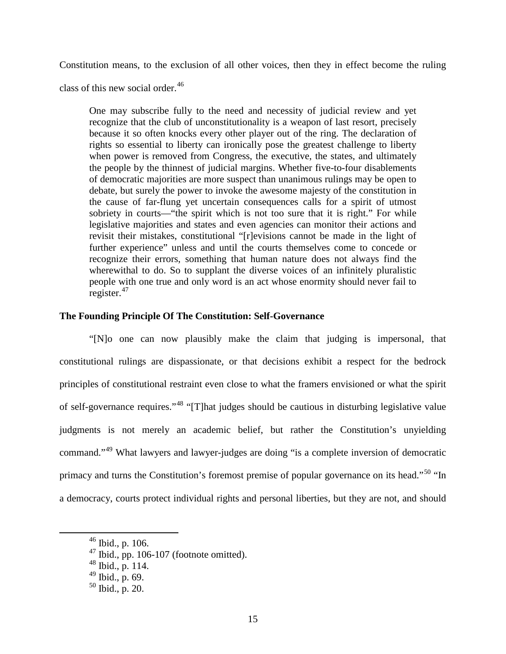Constitution means, to the exclusion of all other voices, then they in effect become the ruling

class of this new social order.<sup>[46](#page-14-0)</sup>

One may subscribe fully to the need and necessity of judicial review and yet recognize that the club of unconstitutionality is a weapon of last resort, precisely because it so often knocks every other player out of the ring. The declaration of rights so essential to liberty can ironically pose the greatest challenge to liberty when power is removed from Congress, the executive, the states, and ultimately the people by the thinnest of judicial margins. Whether five-to-four disablements of democratic majorities are more suspect than unanimous rulings may be open to debate, but surely the power to invoke the awesome majesty of the constitution in the cause of far-flung yet uncertain consequences calls for a spirit of utmost sobriety in courts—"the spirit which is not too sure that it is right." For while legislative majorities and states and even agencies can monitor their actions and revisit their mistakes, constitutional "[r]evisions cannot be made in the light of further experience" unless and until the courts themselves come to concede or recognize their errors, something that human nature does not always find the wherewithal to do. So to supplant the diverse voices of an infinitely pluralistic people with one true and only word is an act whose enormity should never fail to register.<sup>[47](#page-14-1)</sup>

#### **The Founding Principle Of The Constitution: Self-Governance**

"[N]o one can now plausibly make the claim that judging is impersonal, that constitutional rulings are dispassionate, or that decisions exhibit a respect for the bedrock principles of constitutional restraint even close to what the framers envisioned or what the spirit of self-governance requires."[48](#page-14-2) "[T]hat judges should be cautious in disturbing legislative value judgments is not merely an academic belief, but rather the Constitution's unyielding command."<sup>[49](#page-14-3)</sup> What lawyers and lawyer-judges are doing "is a complete inversion of democratic primacy and turns the Constitution's foremost premise of popular governance on its head."<sup>[50](#page-14-4)</sup> "In a democracy, courts protect individual rights and personal liberties, but they are not, and should

<span id="page-14-0"></span> $46$  Ibid., p. 106.

<span id="page-14-1"></span> $^{47}$  Ibid., pp. 106-107 (footnote omitted).  $^{48}$  Ibid., p. 114.

<span id="page-14-2"></span>

<span id="page-14-3"></span> $49$  Ibid., p. 69.

<span id="page-14-4"></span><sup>50</sup> Ibid., p. 20.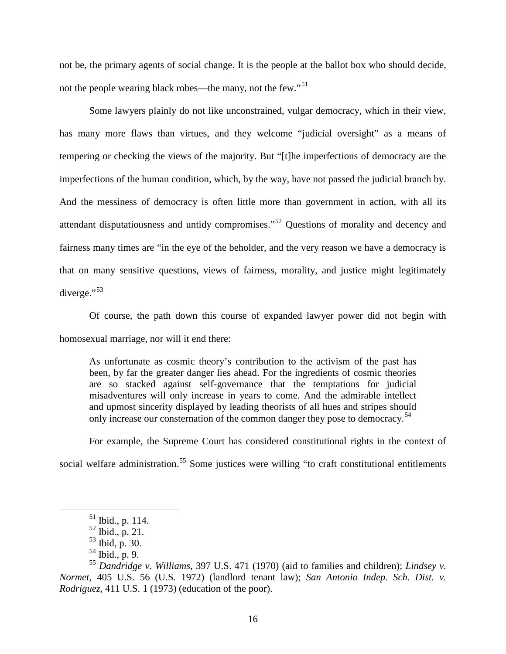not be, the primary agents of social change. It is the people at the ballot box who should decide, not the people wearing black robes—the many, not the few."<sup>[51](#page-15-0)</sup>

Some lawyers plainly do not like unconstrained, vulgar democracy, which in their view, has many more flaws than virtues, and they welcome "judicial oversight" as a means of tempering or checking the views of the majority. But "[t]he imperfections of democracy are the imperfections of the human condition, which, by the way, have not passed the judicial branch by. And the messiness of democracy is often little more than government in action, with all its attendant disputatiousness and untidy compromises."[52](#page-15-1) Questions of morality and decency and fairness many times are "in the eye of the beholder, and the very reason we have a democracy is that on many sensitive questions, views of fairness, morality, and justice might legitimately diverge." $53$ 

Of course, the path down this course of expanded lawyer power did not begin with homosexual marriage, nor will it end there:

As unfortunate as cosmic theory's contribution to the activism of the past has been, by far the greater danger lies ahead. For the ingredients of cosmic theories are so stacked against self-governance that the temptations for judicial misadventures will only increase in years to come. And the admirable intellect and upmost sincerity displayed by leading theorists of all hues and stripes should only increase our consternation of the common danger they pose to democracy.<sup>[54](#page-15-3)</sup>

For example, the Supreme Court has considered constitutional rights in the context of social welfare administration.<sup>[55](#page-15-4)</sup> Some justices were willing "to craft constitutional entitlements"

 <sup>51</sup> Ibid., p. 114.

 $52$  Ibid., p. 21.

 $53$  Ibid, p. 30.

 $54$  Ibid., p. 9.

<span id="page-15-4"></span><span id="page-15-3"></span><span id="page-15-2"></span><span id="page-15-1"></span><span id="page-15-0"></span><sup>55</sup> *Dandridge v. Williams*, 397 U.S. 471 (1970) (aid to families and children); *Lindsey v. Normet*, 405 U.S. 56 (U.S. 1972) (landlord tenant law); *San Antonio Indep. Sch. Dist. v. Rodriguez*, 411 U.S. 1 (1973) (education of the poor).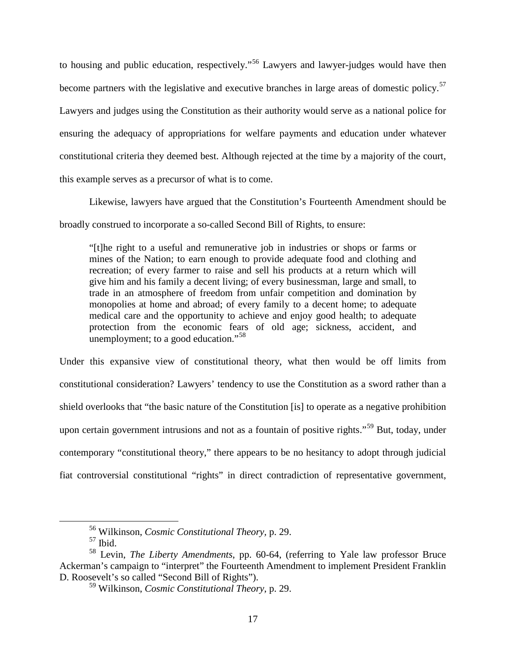to housing and public education, respectively."<sup>[56](#page-16-0)</sup> Lawyers and lawyer-judges would have then become partners with the legislative and executive branches in large areas of domestic policy.<sup>[57](#page-16-1)</sup> Lawyers and judges using the Constitution as their authority would serve as a national police for ensuring the adequacy of appropriations for welfare payments and education under whatever constitutional criteria they deemed best. Although rejected at the time by a majority of the court, this example serves as a precursor of what is to come.

Likewise, lawyers have argued that the Constitution's Fourteenth Amendment should be broadly construed to incorporate a so-called Second Bill of Rights, to ensure:

"[t]he right to a useful and remunerative job in industries or shops or farms or mines of the Nation; to earn enough to provide adequate food and clothing and recreation; of every farmer to raise and sell his products at a return which will give him and his family a decent living; of every businessman, large and small, to trade in an atmosphere of freedom from unfair competition and domination by monopolies at home and abroad; of every family to a decent home; to adequate medical care and the opportunity to achieve and enjoy good health; to adequate protection from the economic fears of old age; sickness, accident, and unemployment; to a good education."<sup>[58](#page-16-2)</sup>

Under this expansive view of constitutional theory, what then would be off limits from constitutional consideration? Lawyers' tendency to use the Constitution as a sword rather than a shield overlooks that "the basic nature of the Constitution [is] to operate as a negative prohibition upon certain government intrusions and not as a fountain of positive rights."<sup>[59](#page-16-3)</sup> But, today, under contemporary "constitutional theory," there appears to be no hesitancy to adopt through judicial fiat controversial constitutional "rights" in direct contradiction of representative government,

<sup>56</sup> Wilkinson, *Cosmic Constitutional Theory,* p. 29. <sup>57</sup> Ibid.

<span id="page-16-3"></span><span id="page-16-2"></span><span id="page-16-1"></span><span id="page-16-0"></span><sup>58</sup> Levin, *The Liberty Amendments*, pp. 60-64, (referring to Yale law professor Bruce Ackerman's campaign to "interpret" the Fourteenth Amendment to implement President Franklin D. Roosevelt's so called "Second Bill of Rights").

<sup>59</sup> Wilkinson, *Cosmic Constitutional Theory*, p. 29.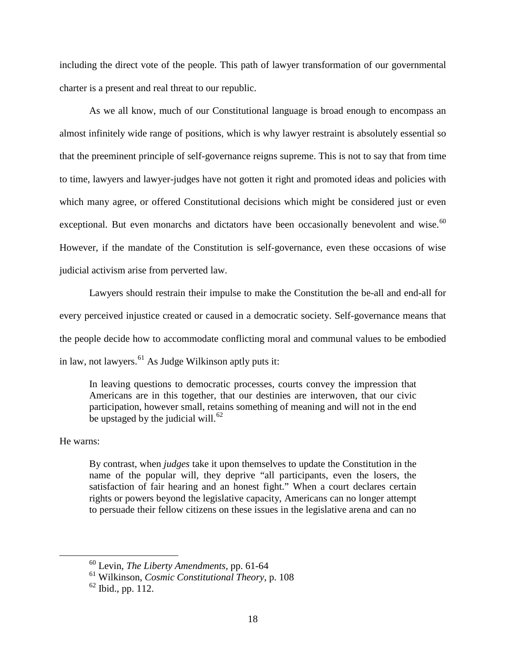including the direct vote of the people. This path of lawyer transformation of our governmental charter is a present and real threat to our republic.

As we all know, much of our Constitutional language is broad enough to encompass an almost infinitely wide range of positions, which is why lawyer restraint is absolutely essential so that the preeminent principle of self-governance reigns supreme. This is not to say that from time to time, lawyers and lawyer-judges have not gotten it right and promoted ideas and policies with which many agree, or offered Constitutional decisions which might be considered just or even exceptional. But even monarchs and dictators have been occasionally benevolent and wise.<sup>[60](#page-17-0)</sup> However, if the mandate of the Constitution is self-governance, even these occasions of wise judicial activism arise from perverted law.

Lawyers should restrain their impulse to make the Constitution the be-all and end-all for every perceived injustice created or caused in a democratic society. Self-governance means that the people decide how to accommodate conflicting moral and communal values to be embodied in law, not lawyers. $^{61}$  $^{61}$  $^{61}$  As Judge Wilkinson aptly puts it:

In leaving questions to democratic processes, courts convey the impression that Americans are in this together, that our destinies are interwoven, that our civic participation, however small, retains something of meaning and will not in the end be upstaged by the judicial will.<sup>[62](#page-17-2)</sup>

#### He warns:

By contrast, when *judges* take it upon themselves to update the Constitution in the name of the popular will, they deprive "all participants, even the losers, the satisfaction of fair hearing and an honest fight." When a court declares certain rights or powers beyond the legislative capacity, Americans can no longer attempt to persuade their fellow citizens on these issues in the legislative arena and can no

<span id="page-17-0"></span> <sup>60</sup> Levin, *The Liberty Amendments*, pp. 61-64

<span id="page-17-1"></span><sup>61</sup> Wilkinson, *Cosmic Constitutional Theory*, p. 108

<span id="page-17-2"></span> $62$  Ibid., pp. 112.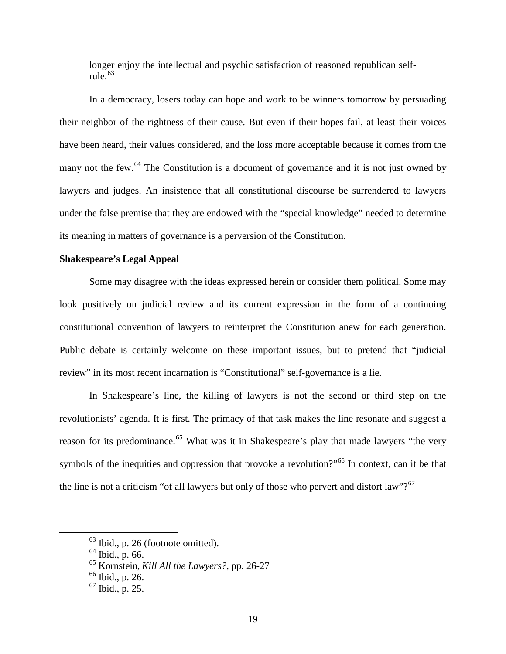longer enjoy the intellectual and psychic satisfaction of reasoned republican selfrule. $63$ 

In a democracy, losers today can hope and work to be winners tomorrow by persuading their neighbor of the rightness of their cause. But even if their hopes fail, at least their voices have been heard, their values considered, and the loss more acceptable because it comes from the many not the few. $^{64}$  $^{64}$  $^{64}$  The Constitution is a document of governance and it is not just owned by lawyers and judges. An insistence that all constitutional discourse be surrendered to lawyers under the false premise that they are endowed with the "special knowledge" needed to determine its meaning in matters of governance is a perversion of the Constitution.

### **Shakespeare's Legal Appeal**

Some may disagree with the ideas expressed herein or consider them political. Some may look positively on judicial review and its current expression in the form of a continuing constitutional convention of lawyers to reinterpret the Constitution anew for each generation. Public debate is certainly welcome on these important issues, but to pretend that "judicial review" in its most recent incarnation is "Constitutional" self-governance is a lie.

In Shakespeare's line, the killing of lawyers is not the second or third step on the revolutionists' agenda. It is first. The primacy of that task makes the line resonate and suggest a reason for its predominance.<sup>[65](#page-18-2)</sup> What was it in Shakespeare's play that made lawyers "the very symbols of the inequities and oppression that provoke a revolution?"<sup>[66](#page-18-3)</sup> In context, can it be that the line is not a criticism "of all lawyers but only of those who pervert and distort law"? $67$ 

<span id="page-18-0"></span> <sup>63</sup> Ibid., p. 26 (footnote omitted).

<span id="page-18-1"></span> $^{64}$  Ibid., p. 66.

<sup>65</sup> Kornstein, *Kill All the Lawyers?*, pp. 26-27

<span id="page-18-3"></span><span id="page-18-2"></span><sup>66</sup> Ibid., p. 26.

<span id="page-18-4"></span><sup>67</sup> Ibid., p. 25.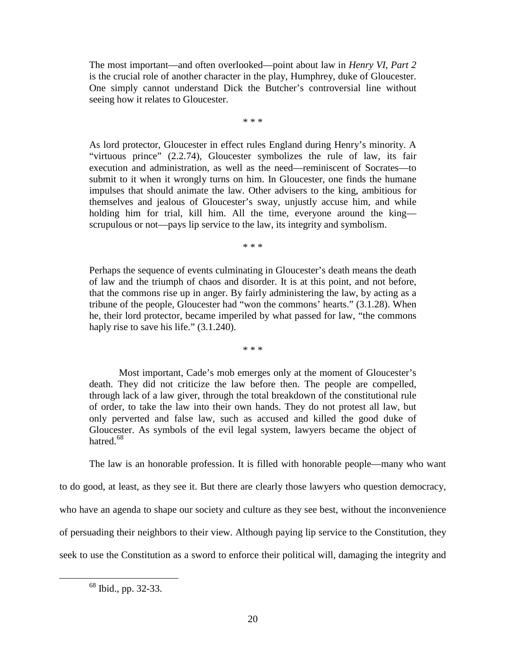The most important—and often overlooked—point about law in *Henry VI, Part 2* is the crucial role of another character in the play, Humphrey, duke of Gloucester. One simply cannot understand Dick the Butcher's controversial line without seeing how it relates to Gloucester.

\* \* \*

As lord protector, Gloucester in effect rules England during Henry's minority. A "virtuous prince" (2.2.74), Gloucester symbolizes the rule of law, its fair execution and administration, as well as the need—reminiscent of Socrates—to submit to it when it wrongly turns on him. In Gloucester, one finds the humane impulses that should animate the law. Other advisers to the king, ambitious for themselves and jealous of Gloucester's sway, unjustly accuse him, and while holding him for trial, kill him. All the time, everyone around the king scrupulous or not—pays lip service to the law, its integrity and symbolism.

\* \* \*

Perhaps the sequence of events culminating in Gloucester's death means the death of law and the triumph of chaos and disorder. It is at this point, and not before, that the commons rise up in anger. By fairly administering the law, by acting as a tribune of the people, Gloucester had "won the commons' hearts." (3.1.28). When he, their lord protector, became imperiled by what passed for law, "the commons haply rise to save his life." (3.1.240).

\* \* \*

Most important, Cade's mob emerges only at the moment of Gloucester's death. They did not criticize the law before then. The people are compelled, through lack of a law giver, through the total breakdown of the constitutional rule of order, to take the law into their own hands. They do not protest all law, but only perverted and false law, such as accused and killed the good duke of Gloucester. As symbols of the evil legal system, lawyers became the object of hatred.<sup>[68](#page-19-0)</sup>

The law is an honorable profession. It is filled with honorable people—many who want to do good, at least, as they see it. But there are clearly those lawyers who question democracy, who have an agenda to shape our society and culture as they see best, without the inconvenience of persuading their neighbors to their view. Although paying lip service to the Constitution, they seek to use the Constitution as a sword to enforce their political will, damaging the integrity and

<span id="page-19-0"></span> <sup>68</sup> Ibid., pp. 32-33.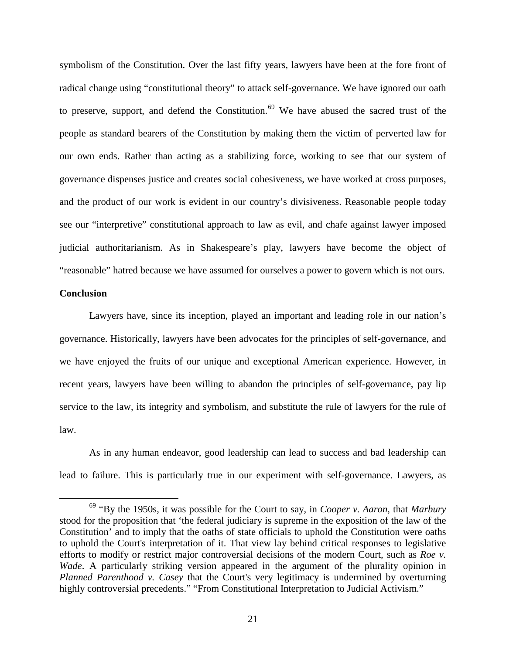symbolism of the Constitution. Over the last fifty years, lawyers have been at the fore front of radical change using "constitutional theory" to attack self-governance. We have ignored our oath to preserve, support, and defend the Constitution.<sup>[69](#page-20-0)</sup> We have abused the sacred trust of the people as standard bearers of the Constitution by making them the victim of perverted law for our own ends. Rather than acting as a stabilizing force, working to see that our system of governance dispenses justice and creates social cohesiveness, we have worked at cross purposes, and the product of our work is evident in our country's divisiveness. Reasonable people today see our "interpretive" constitutional approach to law as evil, and chafe against lawyer imposed judicial authoritarianism. As in Shakespeare's play, lawyers have become the object of "reasonable" hatred because we have assumed for ourselves a power to govern which is not ours.

#### **Conclusion**

Lawyers have, since its inception, played an important and leading role in our nation's governance. Historically, lawyers have been advocates for the principles of self-governance, and we have enjoyed the fruits of our unique and exceptional American experience. However, in recent years, lawyers have been willing to abandon the principles of self-governance, pay lip service to the law, its integrity and symbolism, and substitute the rule of lawyers for the rule of law.

As in any human endeavor, good leadership can lead to success and bad leadership can lead to failure. This is particularly true in our experiment with self-governance. Lawyers, as

<span id="page-20-0"></span> <sup>69</sup> "By the 1950s, it was possible for the Court to say, in *Cooper v. Aaron*, that *Marbury* stood for the proposition that 'the federal judiciary is supreme in the exposition of the law of the Constitution' and to imply that the oaths of state officials to uphold the Constitution were oaths to uphold the Court's interpretation of it. That view lay behind critical responses to legislative efforts to modify or restrict major controversial decisions of the modern Court, such as *Roe v. Wade*. A particularly striking version appeared in the argument of the plurality opinion in *Planned Parenthood v. Casey* that the Court's very legitimacy is undermined by overturning highly controversial precedents." "From Constitutional Interpretation to Judicial Activism."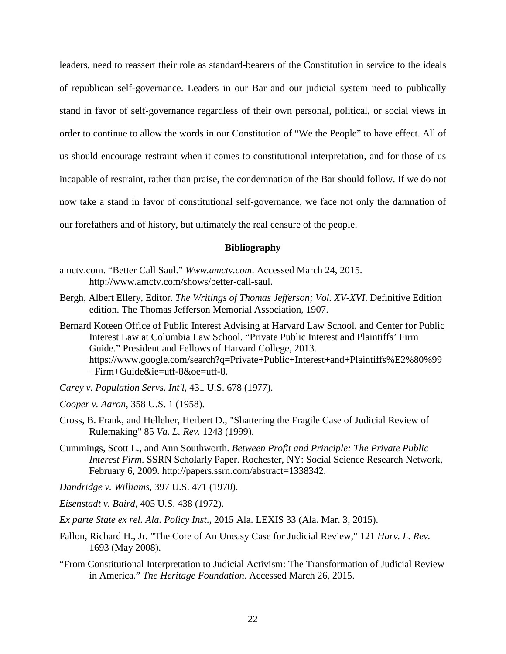leaders, need to reassert their role as standard-bearers of the Constitution in service to the ideals of republican self-governance. Leaders in our Bar and our judicial system need to publically stand in favor of self-governance regardless of their own personal, political, or social views in order to continue to allow the words in our Constitution of "We the People" to have effect. All of us should encourage restraint when it comes to constitutional interpretation, and for those of us incapable of restraint, rather than praise, the condemnation of the Bar should follow. If we do not now take a stand in favor of constitutional self-governance, we face not only the damnation of our forefathers and of history, but ultimately the real censure of the people.

#### **Bibliography**

- amctv.com. "Better Call Saul." *Www.amctv.com*. Accessed March 24, 2015. http://www.amctv.com/shows/better-call-saul.
- Bergh, Albert Ellery, Editor. *The Writings of Thomas Jefferson; Vol. XV-XVI*. Definitive Edition edition. The Thomas Jefferson Memorial Association, 1907.
- Bernard Koteen Office of Public Interest Advising at Harvard Law School, and Center for Public Interest Law at Columbia Law School. "Private Public Interest and Plaintiffs' Firm Guide." President and Fellows of Harvard College, 2013. https://www.google.com/search?q=Private+Public+Interest+and+Plaintiffs%E2%80%99 +Firm+Guide&ie=utf-8&oe=utf-8.
- *Carey v. Population Servs. Int'l*, 431 U.S. 678 (1977).
- *Cooper v. Aaron*, 358 U.S. 1 (1958).
- Cross, B. Frank, and Helleher, Herbert D., "Shattering the Fragile Case of Judicial Review of Rulemaking" 85 *Va. L. Rev.* 1243 (1999).
- Cummings, Scott L., and Ann Southworth. *Between Profit and Principle: The Private Public Interest Firm*. SSRN Scholarly Paper. Rochester, NY: Social Science Research Network, February 6, 2009. http://papers.ssrn.com/abstract=1338342.
- *Dandridge v. Williams*, 397 U.S. 471 (1970).
- *Eisenstadt v. Baird*, 405 U.S. 438 (1972).
- *Ex parte State ex rel. Ala. Policy Inst*., 2015 Ala. LEXIS 33 (Ala. Mar. 3, 2015).
- Fallon, Richard H., Jr. "The Core of An Uneasy Case for Judicial Review," 121 *Harv. L. Rev.*  1693 (May 2008).
- "From Constitutional Interpretation to Judicial Activism: The Transformation of Judicial Review in America." *The Heritage Foundation*. Accessed March 26, 2015.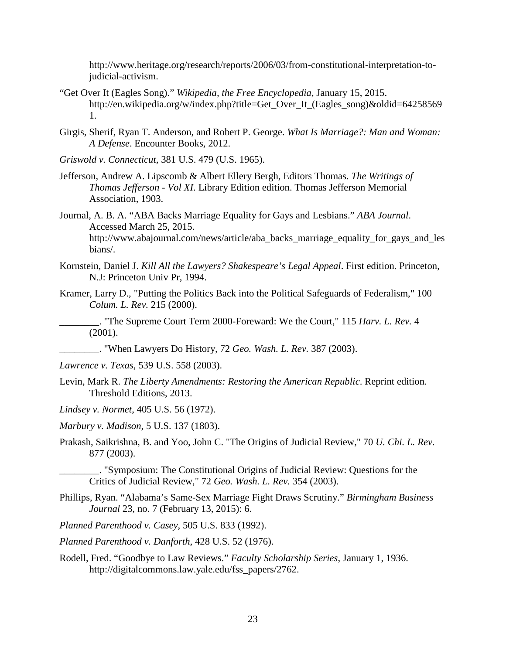http://www.heritage.org/research/reports/2006/03/from-constitutional-interpretation-tojudicial-activism.

- "Get Over It (Eagles Song)." *Wikipedia, the Free Encyclopedia*, January 15, 2015. http://en.wikipedia.org/w/index.php?title=Get\_Over\_It\_(Eagles\_song)&oldid=64258569 1.
- Girgis, Sherif, Ryan T. Anderson, and Robert P. George. *What Is Marriage?: Man and Woman: A Defense*. Encounter Books, 2012.
- *Griswold v. Connecticut*, 381 U.S. 479 (U.S. 1965).
- Jefferson, Andrew A. Lipscomb & Albert Ellery Bergh, Editors Thomas. *The Writings of Thomas Jefferson - Vol XI*. Library Edition edition. Thomas Jefferson Memorial Association, 1903.
- Journal, A. B. A. "ABA Backs Marriage Equality for Gays and Lesbians." *ABA Journal*. Accessed March 25, 2015. http://www.abajournal.com/news/article/aba\_backs\_marriage\_equality\_for\_gays\_and\_les bians/.
- Kornstein, Daniel J. *Kill All the Lawyers? Shakespeare's Legal Appeal*. First edition. Princeton, N.J: Princeton Univ Pr, 1994.
- Kramer, Larry D., "Putting the Politics Back into the Political Safeguards of Federalism," 100 *Colum. L. Rev.* 215 (2000).

\_\_\_\_\_\_\_\_. "The Supreme Court Term 2000-Foreward: We the Court," 115 *Harv. L. Rev.* 4 (2001).

- \_\_\_\_\_\_\_\_. "When Lawyers Do History*,* 72 *Geo. Wash. L. Rev.* 387 (2003).
- *Lawrence v. Texas*, 539 U.S. 558 (2003).
- Levin, Mark R. *The Liberty Amendments: Restoring the American Republic*. Reprint edition. Threshold Editions, 2013.
- *Lindsey v. Normet*, 405 U.S. 56 (1972).
- *Marbury v. Madison*, 5 U.S. 137 (1803).
- Prakash, Saikrishna, B. and Yoo, John C. "The Origins of Judicial Review," 70 *U. Chi. L. Rev*. 877 (2003).

\_\_\_\_\_\_\_\_. "Symposium: The Constitutional Origins of Judicial Review: Questions for the Critics of Judicial Review," 72 *Geo. Wash. L. Rev.* 354 (2003).

- Phillips, Ryan. "Alabama's Same-Sex Marriage Fight Draws Scrutiny." *Birmingham Business Journal* 23, no. 7 (February 13, 2015): 6.
- *Planned Parenthood v. Casey*, 505 U.S. 833 (1992).
- *Planned Parenthood v. Danforth*, 428 U.S. 52 (1976).
- Rodell, Fred. "Goodbye to Law Reviews." *Faculty Scholarship Series*, January 1, 1936. http://digitalcommons.law.yale.edu/fss\_papers/2762.